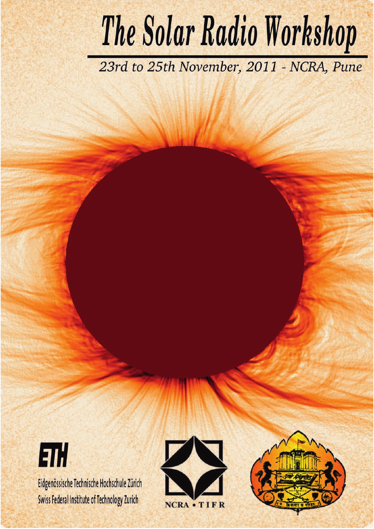# The Solar Radio Workshop

23rd to 25th November, 2011 - NCRA, Pune

 $|z_1|$ Eidgenössische Technische Hochschule Zürich Swiss Federal Institute of Technology Zurich



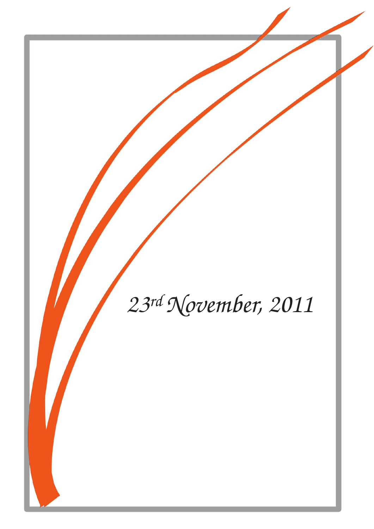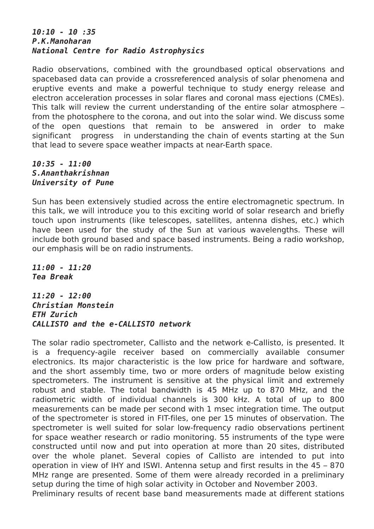### **10:10 - 10 :35 P.K.Manoharan National Centre for Radio Astrophysics**

Radio observations, combined with the groundbased optical observations and spacebased data can provide a crossreferenced analysis of solar phenomena and eruptive events and make a powerful technique to study energy release and electron acceleration processes in solar flares and coronal mass ejections (CMEs). This talk will review the current understanding of the entire solar atmosphere – from the photosphere to the corona, and out into the solar wind. We discuss some of the open questions that remain to be answered in order to make significant progress in understanding the chain of events starting at the Sun that lead to severe space weather impacts at near-Earth space.

### **10:35 - 11:00 S.Ananthakrishnan University of Pune**

Sun has been extensively studied across the entire electromagnetic spectrum. In this talk, we will introduce you to this exciting world of solar research and briefly touch upon instruments (like telescopes, satellites, antenna dishes, etc.) which have been used for the study of the Sun at various wavelengths. These will include both ground based and space based instruments. Being a radio workshop, our emphasis will be on radio instruments.

**11:00 - 11:20 Tea Break**

**11:20 - 12:00 Christian Monstein ETH Zurich CALLISTO and the e-CALLISTO network**

The solar radio spectrometer, Callisto and the network e-Callisto, is presented. It is a frequency-agile receiver based on commercially available consumer electronics. Its major characteristic is the low price for hardware and software, and the short assembly time, two or more orders of magnitude below existing spectrometers. The instrument is sensitive at the physical limit and extremely robust and stable. The total bandwidth is 45 MHz up to 870 MHz, and the radiometric width of individual channels is 300 kHz. A total of up to 800 measurements can be made per second with 1 msec integration time. The output of the spectrometer is stored in FIT-files, one per 15 minutes of observation. The spectrometer is well suited for solar low-frequency radio observations pertinent for space weather research or radio monitoring. 55 instruments of the type were constructed until now and put into operation at more than 20 sites, distributed over the whole planet. Several copies of Callisto are intended to put into operation in view of IHY and ISWI. Antenna setup and first results in the 45 – 870 MHz range are presented. Some of them were already recorded in a preliminary setup during the time of high solar activity in October and November 2003. Preliminary results of recent base band measurements made at different stations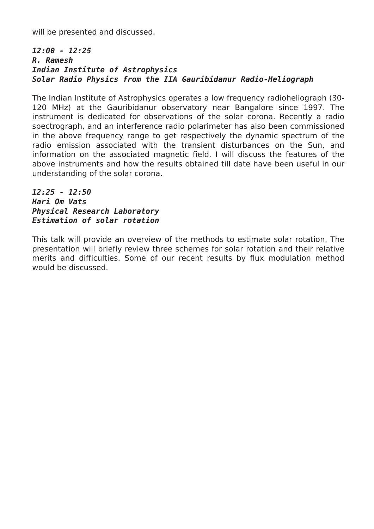will be presented and discussed.

### **12:00 - 12:25 R. Ramesh Indian Institute of Astrophysics Solar Radio Physics from the IIA Gauribidanur Radio-Heliograph**

The Indian Institute of Astrophysics operates a low frequency radioheliograph (30- 120 MHz) at the Gauribidanur observatory near Bangalore since 1997. The instrument is dedicated for observations of the solar corona. Recently a radio spectrograph, and an interference radio polarimeter has also been commissioned in the above frequency range to get respectively the dynamic spectrum of the radio emission associated with the transient disturbances on the Sun, and information on the associated magnetic field. I will discuss the features of the above instruments and how the results obtained till date have been useful in our understanding of the solar corona.

**12:25 - 12:50 Hari Om Vats Physical Research Laboratory Estimation of solar rotation**

This talk will provide an overview of the methods to estimate solar rotation. The presentation will briefly review three schemes for solar rotation and their relative merits and difficulties. Some of our recent results by flux modulation method would be discussed.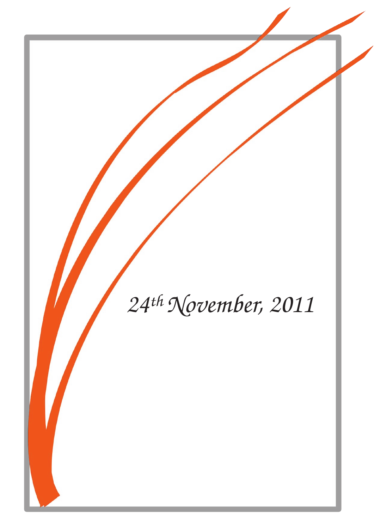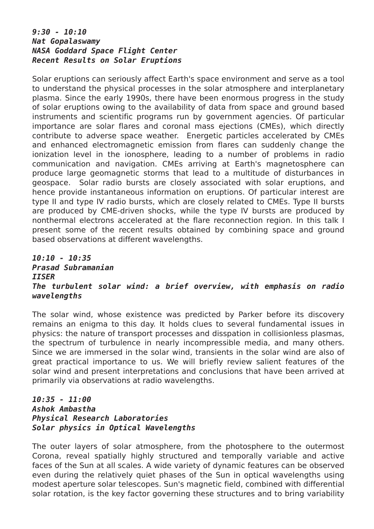### **9:30 - 10:10 Nat Gopalaswamy NASA Goddard Space Flight Center Recent Results on Solar Eruptions**

Solar eruptions can seriously affect Earth's space environment and serve as a tool to understand the physical processes in the solar atmosphere and interplanetary plasma. Since the early 1990s, there have been enormous progress in the study of solar eruptions owing to the availability of data from space and ground based instruments and scientific programs run by government agencies. Of particular importance are solar flares and coronal mass ejections (CMEs), which directly contribute to adverse space weather. Energetic particles accelerated by CMEs and enhanced electromagnetic emission from flares can suddenly change the ionization level in the ionosphere, leading to a number of problems in radio communication and navigation. CMEs arriving at Earth's magnetosphere can produce large geomagnetic storms that lead to a multitude of disturbances in geospace. Solar radio bursts are closely associated with solar eruptions, and hence provide instantaneous information on eruptions. Of particular interest are type II and type IV radio bursts, which are closely related to CMEs. Type II bursts are produced by CME-driven shocks, while the type IV bursts are produced by nonthermal electrons accelerated at the flare reconnection region. In this talk I present some of the recent results obtained by combining space and ground based observations at different wavelengths.

## **10:10 - 10:35 Prasad Subramanian IISER The turbulent solar wind: a brief overview, with emphasis on radio wavelengths**

The solar wind, whose existence was predicted by Parker before its discovery remains an enigma to this day. It holds clues to several fundamental issues in physics: the nature of transport processes and disspation in collisionless plasmas, the spectrum of turbulence in nearly incompressible media, and many others. Since we are immersed in the solar wind, transients in the solar wind are also of great practical importance to us. We will briefly review salient features of the solar wind and present interpretations and conclusions that have been arrived at primarily via observations at radio wavelengths.

### **10:35 - 11:00 Ashok Ambastha Physical Research Laboratories Solar physics in Optical Wavelengths**

The outer layers of solar atmosphere, from the photosphere to the outermost Corona, reveal spatially highly structured and temporally variable and active faces of the Sun at all scales. A wide variety of dynamic features can be observed even during the relatively quiet phases of the Sun in optical wavelengths using modest aperture solar telescopes. Sun's magnetic field, combined with differential solar rotation, is the key factor governing these structures and to bring variability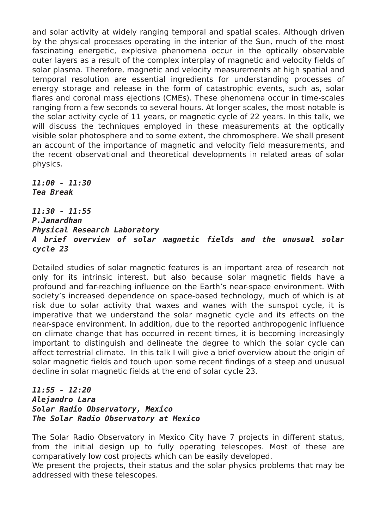and solar activity at widely ranging temporal and spatial scales. Although driven by the physical processes operating in the interior of the Sun, much of the most fascinating energetic, explosive phenomena occur in the optically observable outer layers as a result of the complex interplay of magnetic and velocity fields of solar plasma. Therefore, magnetic and velocity measurements at high spatial and temporal resolution are essential ingredients for understanding processes of energy storage and release in the form of catastrophic events, such as, solar flares and coronal mass ejections (CMEs). These phenomena occur in time-scales ranging from a few seconds to several hours. At longer scales, the most notable is the solar activity cycle of 11 years, or magnetic cycle of 22 years. In this talk, we will discuss the techniques employed in these measurements at the optically visible solar photosphere and to some extent, the chromosphere. We shall present an account of the importance of magnetic and velocity field measurements, and the recent observational and theoretical developments in related areas of solar physics.

**11:00 - 11:30 Tea Break**

**11:30 - 11:55 P.Janardhan Physical Research Laboratory A brief overview of solar magnetic fields and the unusual solar cycle 23**

Detailed studies of solar magnetic features is an important area of research not only for its intrinsic interest, but also because solar magnetic fields have a profound and far-reaching influence on the Earth's near-space environment. With society's increased dependence on space-based technology, much of which is at risk due to solar activity that waxes and wanes with the sunspot cycle, it is imperative that we understand the solar magnetic cycle and its effects on the near-space environment. In addition, due to the reported anthropogenic influence on climate change that has occurred in recent times, it is becoming increasingly important to distinguish and delineate the degree to which the solar cycle can affect terrestrial climate. In this talk I will give a brief overview about the origin of solar magnetic fields and touch upon some recent findings of a steep and unusual decline in solar magnetic fields at the end of solar cycle 23.

### **11:55 - 12:20 Alejandro Lara Solar Radio Observatory, Mexico The Solar Radio Observatory at Mexico**

The Solar Radio Observatory in Mexico City have 7 projects in different status, from the initial design up to fully operating telescopes. Most of these are comparatively low cost projects which can be easily developed.

We present the projects, their status and the solar physics problems that may be addressed with these telescopes.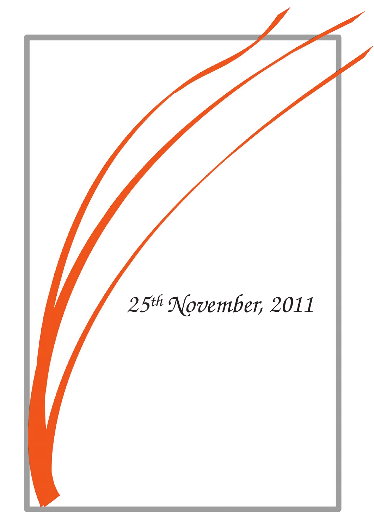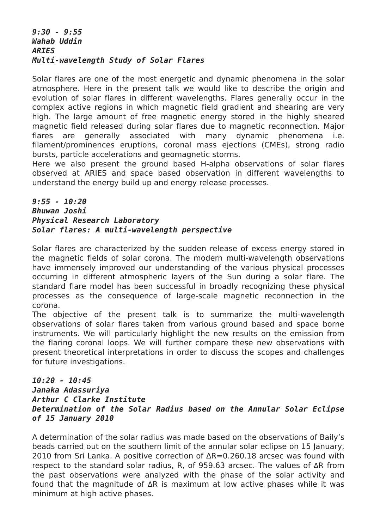### **9:30 - 9:55 Wahab Uddin ARIES Multi-wavelength Study of Solar Flares**

Solar flares are one of the most energetic and dynamic phenomena in the solar atmosphere. Here in the present talk we would like to describe the origin and evolution of solar flares in different wavelengths. Flares generally occur in the complex active regions in which magnetic field gradient and shearing are very high. The large amount of free magnetic energy stored in the highly sheared magnetic field released during solar flares due to magnetic reconnection. Major flares are generally associated with many dynamic phenomena i.e. filament/prominences eruptions, coronal mass ejections (CMEs), strong radio bursts, particle accelerations and geomagnetic storms.

Here we also present the ground based H-alpha observations of solar flares observed at ARIES and space based observation in different wavelengths to understand the energy build up and energy release processes.

### **9:55 - 10:20 Bhuwan Joshi Physical Research Laboratory Solar flares: A multi-wavelength perspective**

Solar flares are characterized by the sudden release of excess energy stored in the magnetic fields of solar corona. The modern multi-wavelength observations have immensely improved our understanding of the various physical processes occurring in different atmospheric layers of the Sun during a solar flare. The standard flare model has been successful in broadly recognizing these physical processes as the consequence of large-scale magnetic reconnection in the corona.

The objective of the present talk is to summarize the multi-wavelength observations of solar flares taken from various ground based and space borne instruments. We will particularly highlight the new results on the emission from the flaring coronal loops. We will further compare these new observations with present theoretical interpretations in order to discuss the scopes and challenges for future investigations.

### **10:20 - 10:45 Janaka Adassuriya Arthur C Clarke Institute Determination of the Solar Radius based on the Annular Solar Eclipse of 15 January 2010**

A determination of the solar radius was made based on the observations of Baily's beads carried out on the southern limit of the annular solar eclipse on 15 January, 2010 from Sri Lanka. A positive correction of ∆R=0.260.18 arcsec was found with respect to the standard solar radius, R, of 959.63 arcsec. The values of ∆R from the past observations were analyzed with the phase of the solar activity and found that the magnitude of ∆R is maximum at low active phases while it was minimum at high active phases.